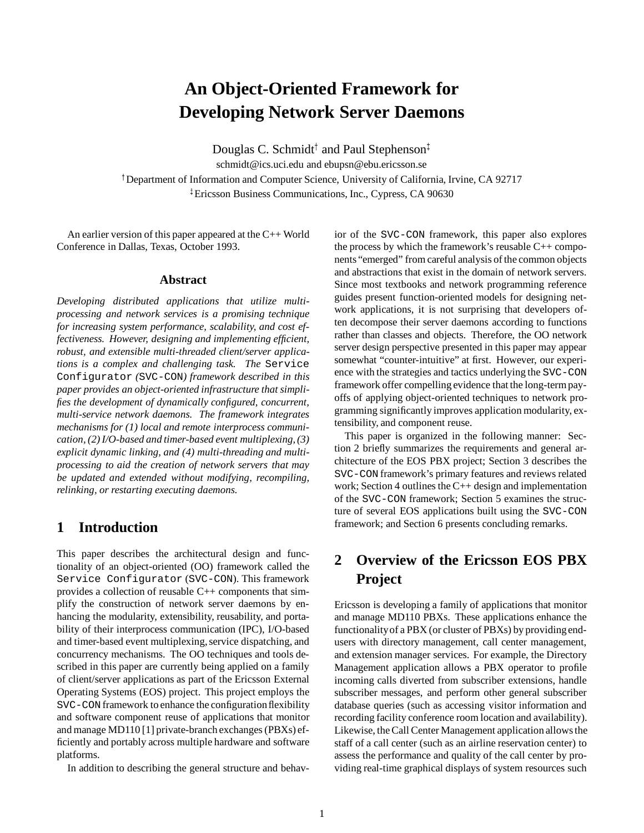# **An Object-Oriented Framework for Developing Network Server Daemons**

Douglas C. Schmidt<sup>†</sup> and Paul Stephenson<sup>‡</sup>

schmidt@ics.uci.edu and ebupsn@ebu.ericsson.se <sup>†</sup> Department of Information and Computer Science, University of California, Irvine, CA 92717 <sup>z</sup> Ericsson Business Communications, Inc., Cypress, CA 90630

An earlier version of this paper appeared at the C++ World Conference in Dallas, Texas, October 1993.

### **Abstract**

*Developing distributed applications that utilize multiprocessing and network services is a promising technique for increasing system performance, scalability, and cost effectiveness. However, designing and implementing efficient, robust, and extensible multi-threaded client/server applications is a complex and challenging task. The* Service Configurator *(*SVC-CON*) framework described in this paper provides an object-oriented infrastructure that simplifies the development of dynamically configured, concurrent, multi-service network daemons. The framework integrates mechanisms for (1) local and remote interprocess communication, (2) I/O-based and timer-based event multiplexing, (3) explicit dynamic linking, and (4) multi-threading and multiprocessing to aid the creation of network servers that may be updated and extended without modifying, recompiling, relinking, or restarting executing daemons.*

# **1 Introduction**

This paper describes the architectural design and functionality of an object-oriented (OO) framework called the Service Configurator (SVC-CON). This framework provides a collection of reusable C++ components that simplify the construction of network server daemons by enhancing the modularity, extensibility, reusability, and portability of their interprocess communication (IPC), I/O-based and timer-based event multiplexing, service dispatching, and concurrency mechanisms. The OO techniques and tools described in this paper are currently being applied on a family of client/server applications as part of the Ericsson External Operating Systems (EOS) project. This project employs the SVC-CON framework to enhance the configuration flexibility and software component reuse of applications that monitor and manage MD110 [1] private-branch exchanges (PBXs) efficiently and portably across multiple hardware and software platforms.

In addition to describing the general structure and behav-

ior of the SVC-CON framework, this paper also explores the process by which the framework's reusable  $C++$  components "emerged" from careful analysis of the common objects and abstractions that exist in the domain of network servers. Since most textbooks and network programming reference guides present function-oriented models for designing network applications, it is not surprising that developers often decompose their server daemons according to functions rather than classes and objects. Therefore, the OO network server design perspective presented in this paper may appear somewhat "counter-intuitive" at first. However, our experience with the strategies and tactics underlying the SVC-CON framework offer compelling evidence that the long-term payoffs of applying object-oriented techniques to network programming significantly improves application modularity, extensibility, and component reuse.

This paper is organized in the following manner: Section 2 briefly summarizes the requirements and general architecture of the EOS PBX project; Section 3 describes the SVC-CON framework's primary features and reviews related work; Section 4 outlines the C++ design and implementation of the SVC-CON framework; Section 5 examines the structure of several EOS applications built using the SVC-CON framework; and Section 6 presents concluding remarks.

# **2 Overview of the Ericsson EOS PBX Project**

Ericsson is developing a family of applications that monitor and manage MD110 PBXs. These applications enhance the functionality of a PBX (or cluster of PBXs) by providing endusers with directory management, call center management, and extension manager services. For example, the Directory Management application allows a PBX operator to profile incoming calls diverted from subscriber extensions, handle subscriber messages, and perform other general subscriber database queries (such as accessing visitor information and recording facility conference room location and availability). Likewise, the Call Center Management application allows the staff of a call center (such as an airline reservation center) to assess the performance and quality of the call center by providing real-time graphical displays of system resources such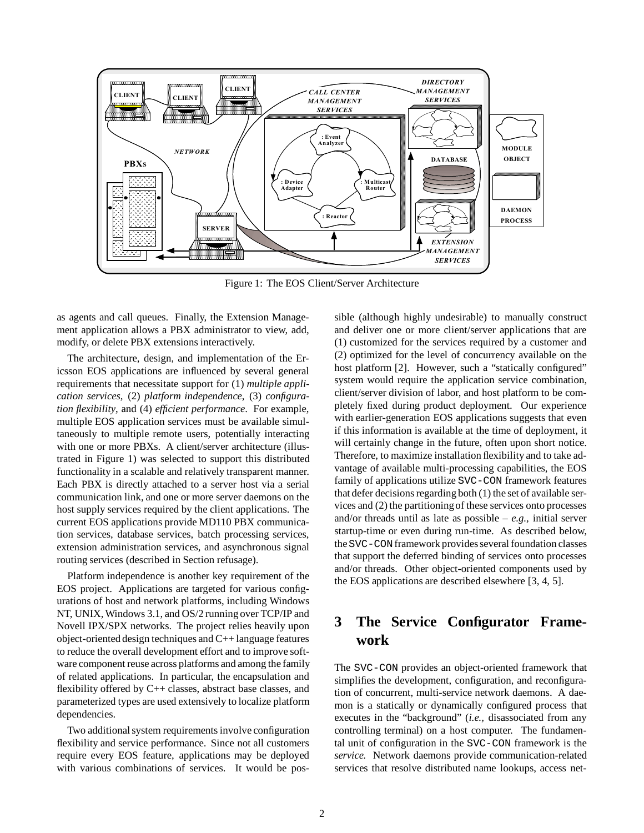

Figure 1: The EOS Client/Server Architecture

as agents and call queues. Finally, the Extension Management application allows a PBX administrator to view, add, modify, or delete PBX extensions interactively.

The architecture, design, and implementation of the Ericsson EOS applications are influenced by several general requirements that necessitate support for (1) *multiple application services*, (2) *platform independence*, (3) *configuration flexibility*, and (4) *efficient performance*. For example, multiple EOS application services must be available simultaneously to multiple remote users, potentially interacting with one or more PBXs. A client/server architecture (illustrated in Figure 1) was selected to support this distributed functionality in a scalable and relatively transparent manner. Each PBX is directly attached to a server host via a serial communication link, and one or more server daemons on the host supply services required by the client applications. The current EOS applications provide MD110 PBX communication services, database services, batch processing services, extension administration services, and asynchronous signal routing services (described in Section refusage).

Platform independence is another key requirement of the EOS project. Applications are targeted for various configurations of host and network platforms, including Windows NT, UNIX, Windows 3.1, and OS/2 running over TCP/IP and Novell IPX/SPX networks. The project relies heavily upon object-oriented design techniques and C++ language features to reduce the overall development effort and to improve software component reuse across platforms and among the family of related applications. In particular, the encapsulation and flexibility offered by C++ classes, abstract base classes, and parameterized types are used extensively to localize platform dependencies.

Two additional system requirements involve configuration flexibility and service performance. Since not all customers require every EOS feature, applications may be deployed with various combinations of services. It would be possible (although highly undesirable) to manually construct and deliver one or more client/server applications that are (1) customized for the services required by a customer and (2) optimized for the level of concurrency available on the host platform [2]. However, such a "statically configured" system would require the application service combination, client/server division of labor, and host platform to be completely fixed during product deployment. Our experience with earlier-generation EOS applications suggests that even if this information is available at the time of deployment, it will certainly change in the future, often upon short notice. Therefore, to maximize installation flexibility and to take advantage of available multi-processing capabilities, the EOS family of applications utilize SVC-CON framework features that defer decisions regarding both (1) the set of available services and (2) the partitioningof these services onto processes and/or threads until as late as possible – *e.g.,* initial server startup-time or even during run-time. As described below, the SVC-CON framework provides several foundation classes that support the deferred binding of services onto processes and/or threads. Other object-oriented components used by the EOS applications are described elsewhere [3, 4, 5].

# **3 The Service Configurator Framework**

The SVC-CON provides an object-oriented framework that simplifies the development, configuration, and reconfiguration of concurrent, multi-service network daemons. A daemon is a statically or dynamically configured process that executes in the "background" (*i.e.,* disassociated from any controlling terminal) on a host computer. The fundamental unit of configuration in the SVC-CON framework is the *service.* Network daemons provide communication-related services that resolve distributed name lookups, access net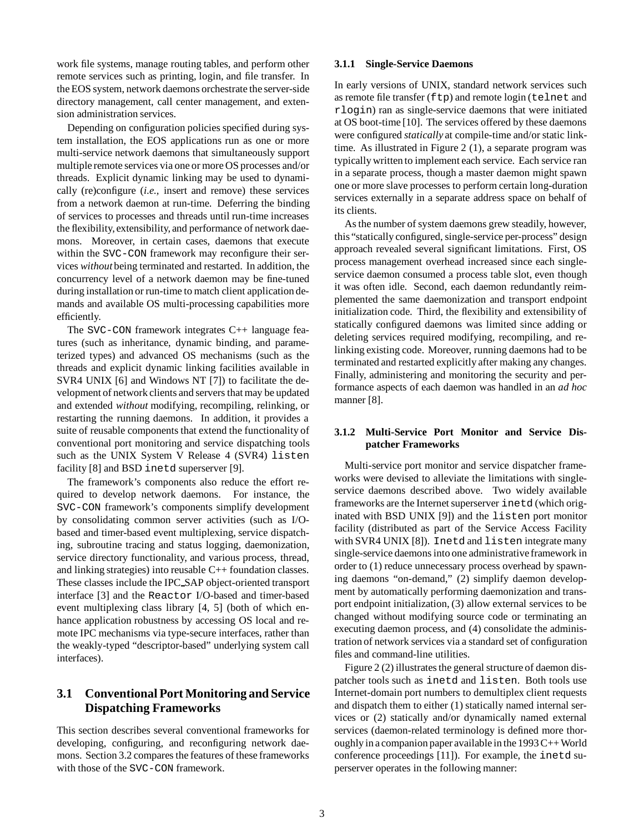work file systems, manage routing tables, and perform other remote services such as printing, login, and file transfer. In the EOS system, network daemons orchestrate the server-side directory management, call center management, and extension administration services.

Depending on configuration policies specified during system installation, the EOS applications run as one or more multi-service network daemons that simultaneously support multiple remote services via one or more OS processes and/or threads. Explicit dynamic linking may be used to dynamically (re)configure (*i.e.,* insert and remove) these services from a network daemon at run-time. Deferring the binding of services to processes and threads until run-time increases the flexibility, extensibility, and performance of network daemons. Moreover, in certain cases, daemons that execute within the SVC-CON framework may reconfigure their services *without* being terminated and restarted. In addition, the concurrency level of a network daemon may be fine-tuned during installation or run-time to match client application demands and available OS multi-processing capabilities more efficiently.

The SVC-CON framework integrates C++ language features (such as inheritance, dynamic binding, and parameterized types) and advanced OS mechanisms (such as the threads and explicit dynamic linking facilities available in SVR4 UNIX [6] and Windows NT [7]) to facilitate the development of network clients and servers that may be updated and extended *without* modifying, recompiling, relinking, or restarting the running daemons. In addition, it provides a suite of reusable components that extend the functionality of conventional port monitoring and service dispatching tools such as the UNIX System V Release 4 (SVR4) listen facility [8] and BSD inetd superserver [9].

The framework's components also reduce the effort required to develop network daemons. For instance, the SVC-CON framework's components simplify development by consolidating common server activities (such as I/Obased and timer-based event multiplexing, service dispatching, subroutine tracing and status logging, daemonization, service directory functionality, and various process, thread, and linking strategies) into reusable C++ foundation classes. These classes include the IPC SAP object-oriented transport interface [3] and the Reactor I/O-based and timer-based event multiplexing class library [4, 5] (both of which enhance application robustness by accessing OS local and remote IPC mechanisms via type-secure interfaces, rather than the weakly-typed "descriptor-based" underlying system call interfaces).

### **3.1 Conventional Port Monitoring and Service Dispatching Frameworks**

This section describes several conventional frameworks for developing, configuring, and reconfiguring network daemons. Section 3.2 compares the features of these frameworks with those of the SVC-CON framework.

#### **3.1.1 Single-Service Daemons**

In early versions of UNIX, standard network services such as remote file transfer (ftp) and remote login (telnet and rlogin) ran as single-service daemons that were initiated at OS boot-time [10]. The services offered by these daemons were configured *statically* at compile-time and/or static linktime. As illustrated in Figure 2 (1), a separate program was typically written to implement each service. Each service ran in a separate process, though a master daemon might spawn one or more slave processes to perform certain long-duration services externally in a separate address space on behalf of its clients.

As the number of system daemons grew steadily, however, this "statically configured, single-service per-process" design approach revealed several significant limitations. First, OS process management overhead increased since each singleservice daemon consumed a process table slot, even though it was often idle. Second, each daemon redundantly reimplemented the same daemonization and transport endpoint initialization code. Third, the flexibility and extensibility of statically configured daemons was limited since adding or deleting services required modifying, recompiling, and relinking existing code. Moreover, running daemons had to be terminated and restarted explicitly after making any changes. Finally, administering and monitoring the security and performance aspects of each daemon was handled in an *ad hoc* manner [8].

### **3.1.2 Multi-Service Port Monitor and Service Dispatcher Frameworks**

Multi-service port monitor and service dispatcher frameworks were devised to alleviate the limitations with singleservice daemons described above. Two widely available frameworks are the Internet superserver inetd (which originated with BSD UNIX [9]) and the listen port monitor facility (distributed as part of the Service Access Facility with SVR4 UNIX [8]). Inetd and listen integrate many single-service daemons into one administrative framework in order to (1) reduce unnecessary process overhead by spawning daemons "on-demand," (2) simplify daemon development by automatically performing daemonization and transport endpoint initialization, (3) allow external services to be changed without modifying source code or terminating an executing daemon process, and (4) consolidate the administration of network services via a standard set of configuration files and command-line utilities.

Figure 2 (2) illustrates the general structure of daemon dispatcher tools such as inetd and listen. Both tools use Internet-domain port numbers to demultiplex client requests and dispatch them to either (1) statically named internal services or (2) statically and/or dynamically named external services (daemon-related terminology is defined more thoroughly in a companion paper available in the  $1993C++$  World conference proceedings [11]). For example, the inetd superserver operates in the following manner: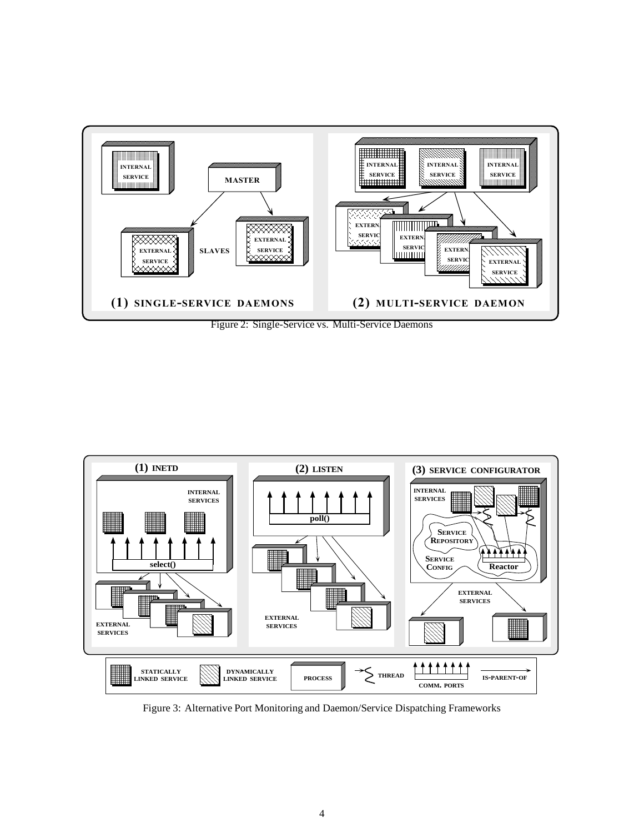

Figure 2: Single-Service vs. Multi-Service Daemons



Figure 3: Alternative Port Monitoring and Daemon/Service Dispatching Frameworks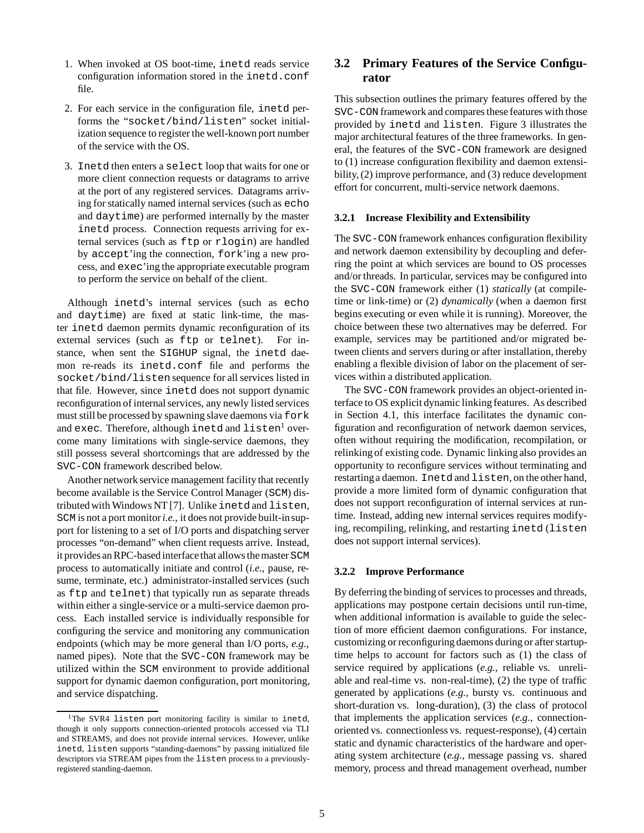- 1. When invoked at OS boot-time, inetd reads service configuration information stored in the inetd.conf file.
- 2. For each service in the configuration file, inetd performs the "socket/bind/listen" socket initialization sequence to register the well-known port number of the service with the OS.
- 3. Inetd then enters a select loop that waits for one or more client connection requests or datagrams to arrive at the port of any registered services. Datagrams arriving for statically named internal services (such as echo and daytime) are performed internally by the master inetd process. Connection requests arriving for external services (such as ftp or rlogin) are handled by accept'ing the connection, fork'ing a new process, and exec'ing the appropriate executable program to perform the service on behalf of the client.

Although inetd's internal services (such as echo and daytime) are fixed at static link-time, the master inetd daemon permits dynamic reconfiguration of its external services (such as ftp or telnet). For instance, when sent the SIGHUP signal, the inetd daemon re-reads its inetd.conf file and performs the socket/bind/listen sequence for all services listed in that file. However, since inetd does not support dynamic reconfiguration of internal services, any newly listed services must still be processed by spawning slave daemons via fork and exec. Therefore, although inetd and listen<sup>1</sup> overcome many limitations with single-service daemons, they still possess several shortcomings that are addressed by the SVC-CON framework described below.

Another network service management facility that recently become available is the Service Control Manager (SCM) distributed with Windows NT [7]. Unlike inetd and listen, SCM is not a port monitor*i.e.*, it does not provide built-insupport for listening to a set of I/O ports and dispatching server processes "on-demand" when client requests arrive. Instead, it provides an RPC-based interface that allows the master SCM process to automatically initiate and control (*i.e.*, pause, resume, terminate, etc.) administrator-installed services (such as ftp and telnet) that typically run as separate threads within either a single-service or a multi-service daemon process. Each installed service is individually responsible for configuring the service and monitoring any communication endpoints (which may be more general than I/O ports, *e.g.,* named pipes). Note that the SVC-CON framework may be utilized within the SCM environment to provide additional support for dynamic daemon configuration, port monitoring, and service dispatching.

### **3.2 Primary Features of the Service Configurator**

This subsection outlines the primary features offered by the SVC-CON framework and compares these features with those provided by inetd and listen. Figure 3 illustrates the major architectural features of the three frameworks. In general, the features of the SVC-CON framework are designed to (1) increase configuration flexibility and daemon extensibility, (2) improve performance, and (3) reduce development effort for concurrent, multi-service network daemons.

#### **3.2.1 Increase Flexibility and Extensibility**

The SVC-CON framework enhances configuration flexibility and network daemon extensibility by decoupling and deferring the point at which services are bound to OS processes and/or threads. In particular, services may be configured into the SVC-CON framework either (1) *statically* (at compiletime or link-time) or (2) *dynamically* (when a daemon first begins executing or even while it is running). Moreover, the choice between these two alternatives may be deferred. For example, services may be partitioned and/or migrated between clients and servers during or after installation, thereby enabling a flexible division of labor on the placement of services within a distributed application.

The SVC-CON framework provides an object-oriented interface to OS explicit dynamic linking features. As described in Section 4.1, this interface facilitates the dynamic configuration and reconfiguration of network daemon services, often without requiring the modification, recompilation, or relinking of existing code. Dynamic linking also provides an opportunity to reconfigure services without terminating and restartinga daemon. Inetd and listen, on the other hand, provide a more limited form of dynamic configuration that does not support reconfiguration of internal services at runtime. Instead, adding new internal services requires modifying, recompiling, relinking, and restarting inetd (listen does not support internal services).

#### **3.2.2 Improve Performance**

By deferring the binding of services to processes and threads, applications may postpone certain decisions until run-time, when additional information is available to guide the selection of more efficient daemon configurations. For instance, customizing or reconfiguring daemons during or after startuptime helps to account for factors such as (1) the class of service required by applications (*e.g.,* reliable vs. unreliable and real-time vs. non-real-time), (2) the type of traffic generated by applications (*e.g.,* bursty vs. continuous and short-duration vs. long-duration), (3) the class of protocol that implements the application services (*e.g.,* connectionoriented vs. connectionless vs. request-response), (4) certain static and dynamic characteristics of the hardware and operating system architecture (*e.g.,* message passing vs. shared memory, process and thread management overhead, number

<sup>&</sup>lt;sup>1</sup>The SVR4 listen port monitoring facility is similar to inetd, though it only supports connection-oriented protocols accessed via TLI and STREAMS, and does not provide internal services. However, unlike inetd, listen supports "standing-daemons" by passing initialized file descriptors via STREAM pipes from the listen process to a previouslyregistered standing-daemon.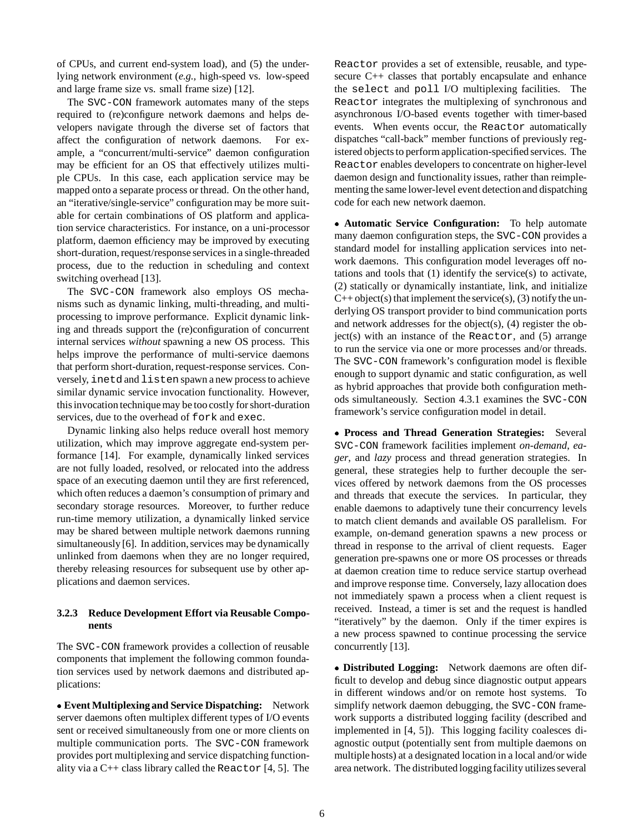of CPUs, and current end-system load), and (5) the underlying network environment (*e.g.,* high-speed vs. low-speed and large frame size vs. small frame size) [12].

The SVC-CON framework automates many of the steps required to (re)configure network daemons and helps developers navigate through the diverse set of factors that affect the configuration of network daemons. For example, a "concurrent/multi-service" daemon configuration may be efficient for an OS that effectively utilizes multiple CPUs. In this case, each application service may be mapped onto a separate process or thread. On the other hand, an "iterative/single-service" configuration may be more suitable for certain combinations of OS platform and application service characteristics. For instance, on a uni-processor platform, daemon efficiency may be improved by executing short-duration, request/response services in a single-threaded process, due to the reduction in scheduling and context switching overhead [13].

The SVC-CON framework also employs OS mechanisms such as dynamic linking, multi-threading, and multiprocessing to improve performance. Explicit dynamic linking and threads support the (re)configuration of concurrent internal services *without* spawning a new OS process. This helps improve the performance of multi-service daemons that perform short-duration, request-response services. Conversely, inetd and listen spawn a new process to achieve similar dynamic service invocation functionality. However, this invocation technique may be too costly for short-duration services, due to the overhead of fork and exec.

Dynamic linking also helps reduce overall host memory utilization, which may improve aggregate end-system performance [14]. For example, dynamically linked services are not fully loaded, resolved, or relocated into the address space of an executing daemon until they are first referenced, which often reduces a daemon's consumption of primary and secondary storage resources. Moreover, to further reduce run-time memory utilization, a dynamically linked service may be shared between multiple network daemons running simultaneously [6]. In addition, services may be dynamically unlinked from daemons when they are no longer required, thereby releasing resources for subsequent use by other applications and daemon services.

### **3.2.3 Reduce Development Effort via Reusable Components**

The SVC-CON framework provides a collection of reusable components that implement the following common foundation services used by network daemons and distributed applications:

 **Event Multiplexing and Service Dispatching:** Network server daemons often multiplex different types of I/O events sent or received simultaneously from one or more clients on multiple communication ports. The SVC-CON framework provides port multiplexing and service dispatching functionality via a  $C++$  class library called the Reactor  $[4, 5]$ . The Reactor provides a set of extensible, reusable, and typesecure C++ classes that portably encapsulate and enhance the select and poll I/O multiplexing facilities. The Reactor integrates the multiplexing of synchronous and asynchronous I/O-based events together with timer-based events. When events occur, the Reactor automatically dispatches "call-back" member functions of previously registered objects to perform application-specified services. The Reactor enables developers to concentrate on higher-level daemon design and functionality issues, rather than reimplementing the same lower-level event detection and dispatching code for each new network daemon.

 **Automatic Service Configuration:** To help automate many daemon configuration steps, the SVC-CON provides a standard model for installing application services into network daemons. This configuration model leverages off notations and tools that (1) identify the service(s) to activate, (2) statically or dynamically instantiate, link, and initialize  $C++$  object(s) that implement the service(s), (3) notify the underlying OS transport provider to bind communication ports and network addresses for the object(s), (4) register the ob $ject(s)$  with an instance of the Reactor, and  $(5)$  arrange to run the service via one or more processes and/or threads. The SVC-CON framework's configuration model is flexible enough to support dynamic and static configuration, as well as hybrid approaches that provide both configuration methods simultaneously. Section 4.3.1 examines the SVC-CON framework's service configuration model in detail.

 **Process and Thread Generation Strategies:** Several SVC-CON framework facilities implement *on-demand*, *eager*, and *lazy* process and thread generation strategies. In general, these strategies help to further decouple the services offered by network daemons from the OS processes and threads that execute the services. In particular, they enable daemons to adaptively tune their concurrency levels to match client demands and available OS parallelism. For example, on-demand generation spawns a new process or thread in response to the arrival of client requests. Eager generation pre-spawns one or more OS processes or threads at daemon creation time to reduce service startup overhead and improve response time. Conversely, lazy allocation does not immediately spawn a process when a client request is received. Instead, a timer is set and the request is handled "iteratively" by the daemon. Only if the timer expires is a new process spawned to continue processing the service concurrently [13].

 **Distributed Logging:** Network daemons are often difficult to develop and debug since diagnostic output appears in different windows and/or on remote host systems. To simplify network daemon debugging, the SVC-CON framework supports a distributed logging facility (described and implemented in [4, 5]). This logging facility coalesces diagnostic output (potentially sent from multiple daemons on multiple hosts) at a designated location in a local and/or wide area network. The distributed logging facility utilizes several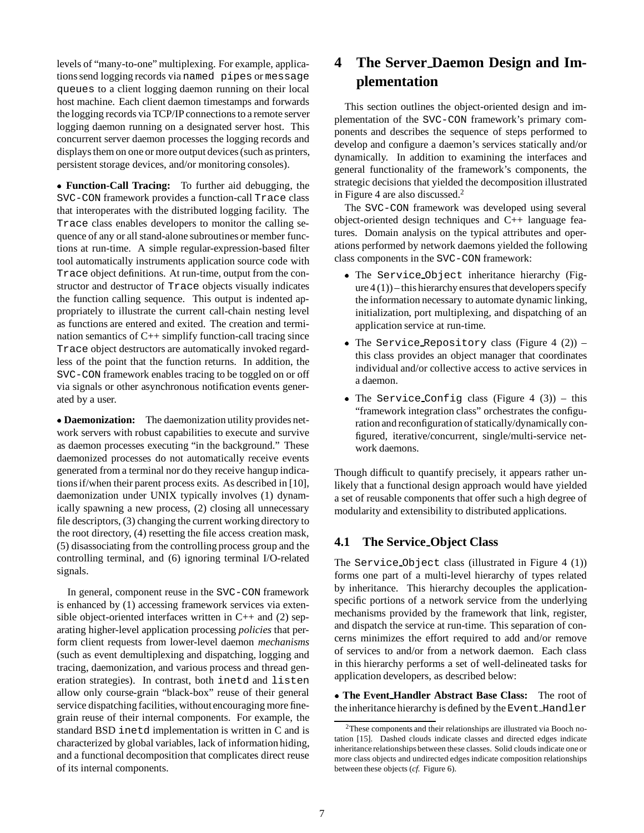levels of "many-to-one" multiplexing. For example, applications send logging records via named pipes or message queues to a client logging daemon running on their local host machine. Each client daemon timestamps and forwards the logging records via TCP/IP connections to a remote server logging daemon running on a designated server host. This concurrent server daemon processes the logging records and displays them on one or more output devices (such as printers, persistent storage devices, and/or monitoring consoles).

 **Function-Call Tracing:** To further aid debugging, the SVC-CON framework provides a function-call Trace class that interoperates with the distributed logging facility. The Trace class enables developers to monitor the calling sequence of any or all stand-alone subroutines or member functions at run-time. A simple regular-expression-based filter tool automatically instruments application source code with Trace object definitions. At run-time, output from the constructor and destructor of Trace objects visually indicates the function calling sequence. This output is indented appropriately to illustrate the current call-chain nesting level as functions are entered and exited. The creation and termination semantics of C++ simplify function-call tracing since Trace object destructors are automatically invoked regardless of the point that the function returns. In addition, the SVC-CON framework enables tracing to be toggled on or off via signals or other asynchronous notification events generated by a user.

 **Daemonization:** The daemonization utility provides network servers with robust capabilities to execute and survive as daemon processes executing "in the background." These daemonized processes do not automatically receive events generated from a terminal nor do they receive hangup indications if/when their parent process exits. As described in [10], daemonization under UNIX typically involves (1) dynamically spawning a new process, (2) closing all unnecessary file descriptors, (3) changing the current working directory to the root directory, (4) resetting the file access creation mask, (5) disassociating from the controlling process group and the controlling terminal, and (6) ignoring terminal I/O-related signals.

In general, component reuse in the SVC-CON framework is enhanced by (1) accessing framework services via extensible object-oriented interfaces written in C++ and (2) separating higher-level application processing *policies* that perform client requests from lower-level daemon *mechanisms* (such as event demultiplexing and dispatching, logging and tracing, daemonization, and various process and thread generation strategies). In contrast, both inetd and listen allow only course-grain "black-box" reuse of their general service dispatching facilities, without encouraging more finegrain reuse of their internal components. For example, the standard BSD inetd implementation is written in C and is characterized by global variables, lack of information hiding, and a functional decomposition that complicates direct reuse of its internal components.

# **4 The Server Daemon Design and Implementation**

This section outlines the object-oriented design and implementation of the SVC-CON framework's primary components and describes the sequence of steps performed to develop and configure a daemon's services statically and/or dynamically. In addition to examining the interfaces and general functionality of the framework's components, the strategic decisions that yielded the decomposition illustrated in Figure 4 are also discussed. $<sup>2</sup>$ </sup>

The SVC-CON framework was developed using several object-oriented design techniques and C++ language features. Domain analysis on the typical attributes and operations performed by network daemons yielded the following class components in the SVC-CON framework:

- . The Service Object inheritance hierarchy (Fig $ure 4(1)$  – this hierarchy ensures that developers specify the information necessary to automate dynamic linking, initialization, port multiplexing, and dispatching of an application service at run-time.
- $\bullet$  The Service Repository class (Figure 4 (2)) this class provides an object manager that coordinates individual and/or collective access to active services in a daemon.
- The Service Config class (Figure 4  $(3)$ ) this "framework integration class" orchestrates the configuration and reconfiguration of statically/dynamically configured, iterative/concurrent, single/multi-service network daemons.

Though difficult to quantify precisely, it appears rather unlikely that a functional design approach would have yielded a set of reusable components that offer such a high degree of modularity and extensibility to distributed applications.

### **4.1 The Service Object Class**

The Service Object class (illustrated in Figure 4 (1)) forms one part of a multi-level hierarchy of types related by inheritance. This hierarchy decouples the applicationspecific portions of a network service from the underlying mechanisms provided by the framework that link, register, and dispatch the service at run-time. This separation of concerns minimizes the effort required to add and/or remove of services to and/or from a network daemon. Each class in this hierarchy performs a set of well-delineated tasks for application developers, as described below:

 **The Event Handler Abstract Base Class:** The root of the inheritance hierarchy is defined by the Event Handler

 $2$ These components and their relationships are illustrated via Booch notation [15]. Dashed clouds indicate classes and directed edges indicate inheritance relationships between these classes. Solid clouds indicate one or more class objects and undirected edges indicate composition relationships between these objects (*cf.* Figure 6).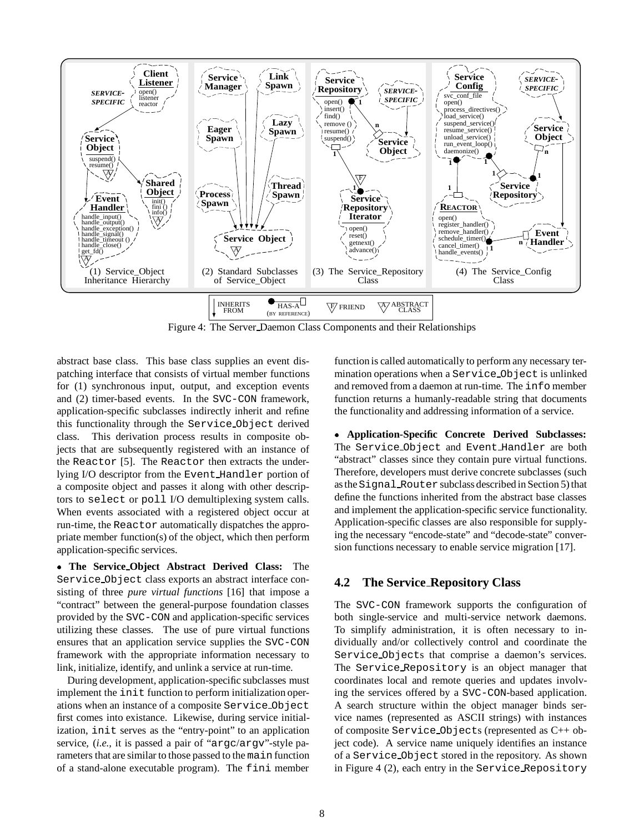

Figure 4: The Server Daemon Class Components and their Relationships

abstract base class. This base class supplies an event dispatching interface that consists of virtual member functions for (1) synchronous input, output, and exception events and (2) timer-based events. In the SVC-CON framework, application-specific subclasses indirectly inherit and refine this functionality through the Service Object derived class. This derivation process results in composite objects that are subsequently registered with an instance of the Reactor [5]. The Reactor then extracts the underlying I/O descriptor from the Event Handler portion of a composite object and passes it along with other descriptors to select or poll I/O demultiplexing system calls. When events associated with a registered object occur at run-time, the Reactor automatically dispatches the appropriate member function(s) of the object, which then perform application-specific services.

 **The Service Object Abstract Derived Class:** The Service Object class exports an abstract interface consisting of three *pure virtual functions* [16] that impose a "contract" between the general-purpose foundation classes provided by the SVC-CON and application-specific services utilizing these classes. The use of pure virtual functions ensures that an application service supplies the SVC-CON framework with the appropriate information necessary to link, initialize, identify, and unlink a service at run-time.

During development, application-specific subclasses must implement the init function to perform initialization operations when an instance of a composite Service Object first comes into existance. Likewise, during service initialization, init serves as the "entry-point" to an application service, (*i.e.,* it is passed a pair of "argc/argv"-style parameters that are similar to those passed to the main function of a stand-alone executable program). The fini member

function is called automatically to perform any necessary termination operations when a Service Object is unlinked and removed from a daemon at run-time. The info member function returns a humanly-readable string that documents the functionality and addressing information of a service.

 **Application-Specific Concrete Derived Subclasses:** The Service Object and Event Handler are both "abstract" classes since they contain pure virtual functions. Therefore, developers must derive concrete subclasses (such as the Signal Router subclass described in Section 5) that define the functions inherited from the abstract base classes and implement the application-specific service functionality. Application-specific classes are also responsible for supplying the necessary "encode-state" and "decode-state" conversion functions necessary to enable service migration [17].

### **4.2 The Service Repository Class**

The SVC-CON framework supports the configuration of both single-service and multi-service network daemons. To simplify administration, it is often necessary to individually and/or collectively control and coordinate the Service Objects that comprise a daemon's services. The Service Repository is an object manager that coordinates local and remote queries and updates involving the services offered by a SVC-CON-based application. A search structure within the object manager binds service names (represented as ASCII strings) with instances of composite Service Objects (represented as C++ object code). A service name uniquely identifies an instance of a Service Object stored in the repository. As shown in Figure 4 (2), each entry in the Service Repository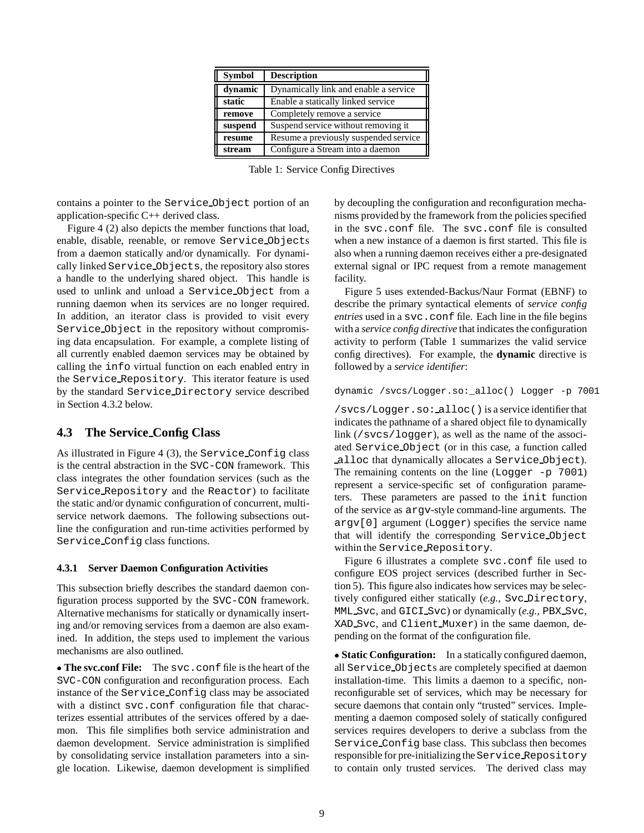| <b>Symbol</b> | <b>Description</b>                    |
|---------------|---------------------------------------|
| dynamic       | Dynamically link and enable a service |
| static        | Enable a statically linked service    |
| remove        | Completely remove a service           |
| suspend       | Suspend service without removing it   |
| resume        | Resume a previously suspended service |
| stream        | Configure a Stream into a daemon      |

Table 1: Service Config Directives

contains a pointer to the Service Object portion of an application-specific C++ derived class.

Figure 4 (2) also depicts the member functions that load, enable, disable, reenable, or remove Service Objects from a daemon statically and/or dynamically. For dynamically linked Service Objects, the repository also stores a handle to the underlying shared object. This handle is used to unlink and unload a Service Object from a running daemon when its services are no longer required. In addition, an iterator class is provided to visit every Service Object in the repository without compromising data encapsulation. For example, a complete listing of all currently enabled daemon services may be obtained by calling the info virtual function on each enabled entry in the Service Repository. This iterator feature is used by the standard Service Directory service described in Section 4.3.2 below.

### **4.3 The Service Config Class**

As illustrated in Figure 4 (3), the Service Config class is the central abstraction in the SVC-CON framework. This class integrates the other foundation services (such as the Service Repository and the Reactor) to facilitate the static and/or dynamic configuration of concurrent, multiservice network daemons. The following subsections outline the configuration and run-time activities performed by Service Config class functions.

### **4.3.1 Server Daemon Configuration Activities**

This subsection briefly describes the standard daemon configuration process supported by the SVC-CON framework. Alternative mechanisms for statically or dynamically inserting and/or removing services from a daemon are also examined. In addition, the steps used to implement the various mechanisms are also outlined.

 **The svc.conf File:** The svc.conf file is the heart of the SVC-CON configuration and reconfiguration process. Each instance of the Service Config class may be associated with a distinct svc.conf configuration file that characterizes essential attributes of the services offered by a daemon. This file simplifies both service administration and daemon development. Service administration is simplified by consolidating service installation parameters into a single location. Likewise, daemon development is simplified by decoupling the configuration and reconfiguration mechanisms provided by the framework from the policies specified in the svc.conf file. The svc.conf file is consulted when a new instance of a daemon is first started. This file is also when a running daemon receives either a pre-designated external signal or IPC request from a remote management facility.

Figure 5 uses extended-Backus/Naur Format (EBNF) to describe the primary syntactical elements of *service config entries* used in a svc.conf file. Each line in the file begins with a *service config directive* that indicates the configuration activity to perform (Table 1 summarizes the valid service config directives). For example, the **dynamic** directive is followed by a *service identifier*:

#### dynamic /svcs/Logger.so:\_alloc() Logger -p 7001

/svcs/Logger.so: alloc() is a service identifier that indicates the pathname of a shared object file to dynamically link (/svcs/logger), as well as the name of the associated Service Object (or in this case, a function called alloc that dynamically allocates a Service Object). The remaining contents on the line  $(Logger -p 7001)$ represent a service-specific set of configuration parameters. These parameters are passed to the init function of the service as argv-style command-line arguments. The argv[0] argument (Logger) specifies the service name that will identify the corresponding Service Object within the Service Repository.

Figure 6 illustrates a complete svc.conf file used to configure EOS project services (described further in Section 5). This figure also indicates how services may be selectively configured either statically (*e.g.,* Svc Directory, MML Svc, and GICI Svc) or dynamically (*e.g.,* PBX Svc, XAD Svc, and Client Muxer) in the same daemon, depending on the format of the configuration file.

 **Static Configuration:** In a statically configured daemon, all Service Objects are completely specified at daemon installation-time. This limits a daemon to a specific, nonreconfigurable set of services, which may be necessary for secure daemons that contain only "trusted" services. Implementing a daemon composed solely of statically configured services requires developers to derive a subclass from the Service Config base class. This subclass then becomes responsible for pre-initializing the Service Repository to contain only trusted services. The derived class may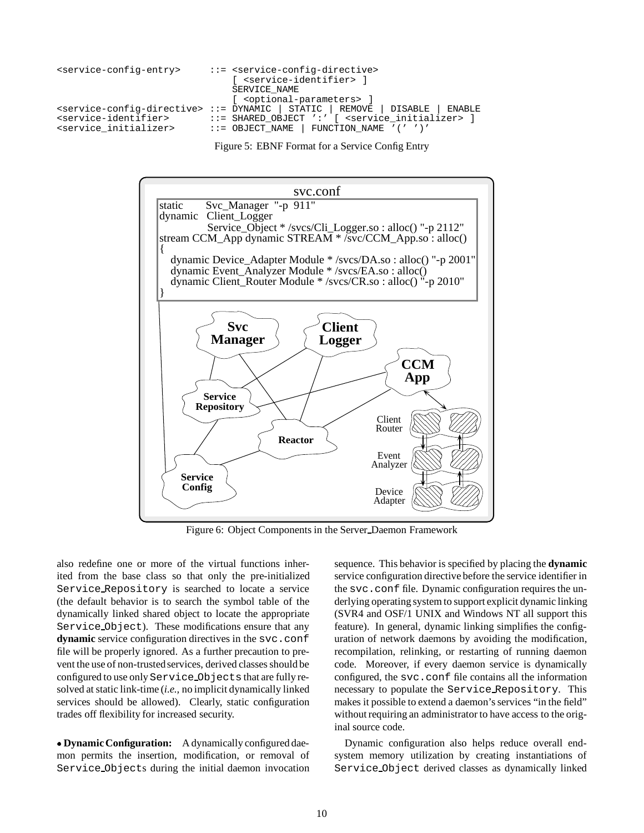```
<service-config-entry> ::= <service-config-directive>
                              [ <service-identifier> ]
                              SERVICE_NAME
                              [ <optional-parameters> ]
<service-config-directive> ::= DYNAMIC | STATIC | REMOVE | DISABLE | ENABLE
<service-identifier> ::= SHARED_OBJECT ':' [ <service_initializer> ]
<service initializer> ::= OBJECT_NAME | FUNCTION_NAME '(' ')'
```
Figure 5: EBNF Format for a Service Config Entry



Figure 6: Object Components in the Server Daemon Framework

also redefine one or more of the virtual functions inherited from the base class so that only the pre-initialized Service Repository is searched to locate a service (the default behavior is to search the symbol table of the dynamically linked shared object to locate the appropriate Service Object). These modifications ensure that any **dynamic** service configuration directives in the svc.conf file will be properly ignored. As a further precaution to prevent the use of non-trusted services, derived classes should be configured to use only Service Objects that are fully resolved at static link-time (*i.e.,* no implicit dynamically linked services should be allowed). Clearly, static configuration trades off flexibility for increased security.

 **Dynamic Configuration:** A dynamically configured daemon permits the insertion, modification, or removal of Service Objects during the initial daemon invocation

sequence. This behavior is specified by placing the **dynamic** service configuration directive before the service identifier in the svc.conf file. Dynamic configuration requires the underlying operating system to support explicit dynamic linking (SVR4 and OSF/1 UNIX and Windows NT all support this feature). In general, dynamic linking simplifies the configuration of network daemons by avoiding the modification, recompilation, relinking, or restarting of running daemon code. Moreover, if every daemon service is dynamically configured, the svc.conf file contains all the information necessary to populate the Service Repository. This makes it possible to extend a daemon's services "in the field" without requiring an administrator to have access to the original source code.

Dynamic configuration also helps reduce overall endsystem memory utilization by creating instantiations of Service Object derived classes as dynamically linked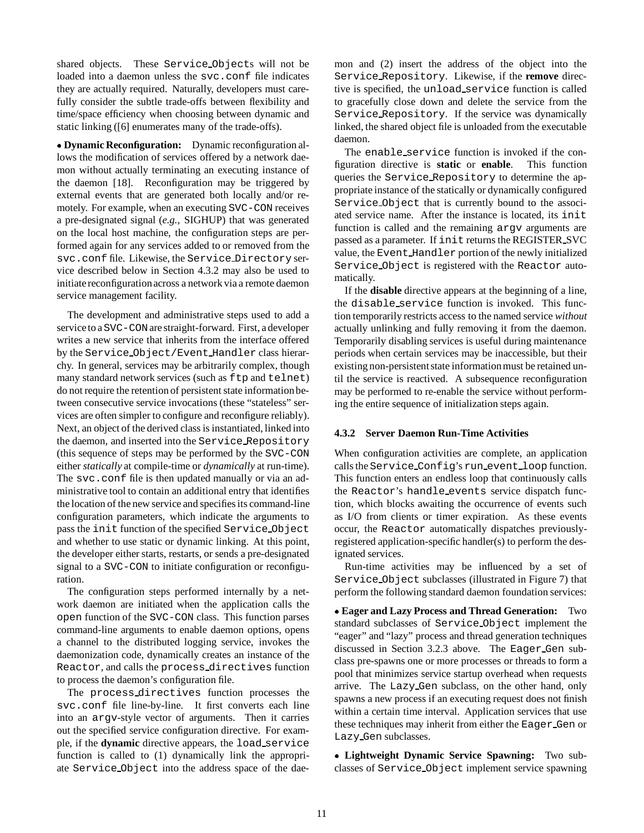shared objects. These Service Objects will not be loaded into a daemon unless the svc.conf file indicates they are actually required. Naturally, developers must carefully consider the subtle trade-offs between flexibility and time/space efficiency when choosing between dynamic and static linking ([6] enumerates many of the trade-offs).

 **Dynamic Reconfiguration:** Dynamic reconfiguration allows the modification of services offered by a network daemon without actually terminating an executing instance of the daemon [18]. Reconfiguration may be triggered by external events that are generated both locally and/or remotely. For example, when an executing SVC-CON receives a pre-designated signal (*e.g.,* SIGHUP) that was generated on the local host machine, the configuration steps are performed again for any services added to or removed from the svc.conf file. Likewise, the Service Directory service described below in Section 4.3.2 may also be used to initiate reconfiguration across a network via a remote daemon service management facility.

The development and administrative steps used to add a service to aSVC-CONare straight-forward. First, a developer writes a new service that inherits from the interface offered by the Service Object/Event Handler class hierarchy. In general, services may be arbitrarily complex, though many standard network services (such as  $ftp$  and  $telnet)$ do not require the retention of persistent state informationbetween consecutive service invocations (these "stateless" services are often simpler to configure and reconfigure reliably). Next, an object of the derived class is instantiated, linked into the daemon, and inserted into the Service Repository (this sequence of steps may be performed by the SVC-CON either *statically* at compile-time or *dynamically* at run-time). The svc.conf file is then updated manually or via an administrative tool to contain an additional entry that identifies the location of the new service and specifies its command-line configuration parameters, which indicate the arguments to pass the init function of the specified Service Object and whether to use static or dynamic linking. At this point, the developer either starts, restarts, or sends a pre-designated signal to a SVC-CON to initiate configuration or reconfiguration.

The configuration steps performed internally by a network daemon are initiated when the application calls the open function of the SVC-CON class. This function parses command-line arguments to enable daemon options, opens a channel to the distributed logging service, invokes the daemonization code, dynamically creates an instance of the Reactor, and calls the process directives function to process the daemon's configuration file.

The process directives function processes the svc.conf file line-by-line. It first converts each line into an argv-style vector of arguments. Then it carries out the specified service configuration directive. For example, if the **dynamic** directive appears, the load service function is called to (1) dynamically link the appropriate Service Object into the address space of the daemon and (2) insert the address of the object into the Service Repository. Likewise, if the **remove** directive is specified, the unload service function is called to gracefully close down and delete the service from the Service Repository. If the service was dynamically linked, the shared object file is unloaded from the executable daemon.

The enable service function is invoked if the configuration directive is **static** or **enable**. This function queries the Service Repository to determine the appropriate instance of the statically or dynamically configured Service Object that is currently bound to the associated service name. After the instance is located, its init function is called and the remaining argv arguments are passed as a parameter. If init returns the REGISTER SVC value, the Event Handler portion of the newly initialized Service Object is registered with the Reactor automatically.

If the **disable** directive appears at the beginning of a line, the disable service function is invoked. This function temporarily restricts access to the named service *without* actually unlinking and fully removing it from the daemon. Temporarily disabling services is useful during maintenance periods when certain services may be inaccessible, but their existing non-persistent state information must be retained until the service is reactived. A subsequence reconfiguration may be performed to re-enable the service without performing the entire sequence of initialization steps again.

### **4.3.2 Server Daemon Run-Time Activities**

When configuration activities are complete, an application calls the Service Config's run event loop function. This function enters an endless loop that continuously calls the Reactor's handle events service dispatch function, which blocks awaiting the occurrence of events such as I/O from clients or timer expiration. As these events occur, the Reactor automatically dispatches previouslyregistered application-specific handler(s) to perform the designated services.

Run-time activities may be influenced by a set of Service Object subclasses (illustrated in Figure 7) that perform the following standard daemon foundation services:

 **Eager and Lazy Process and Thread Generation:** Two standard subclasses of Service Object implement the "eager" and "lazy" process and thread generation techniques discussed in Section 3.2.3 above. The Eager Gen subclass pre-spawns one or more processes or threads to form a pool that minimizes service startup overhead when requests arrive. The Lazy Gen subclass, on the other hand, only spawns a new process if an executing request does not finish within a certain time interval. Application services that use these techniques may inherit from either the Eager Gen or Lazy Gen subclasses.

 **Lightweight Dynamic Service Spawning:** Two subclasses of Service Object implement service spawning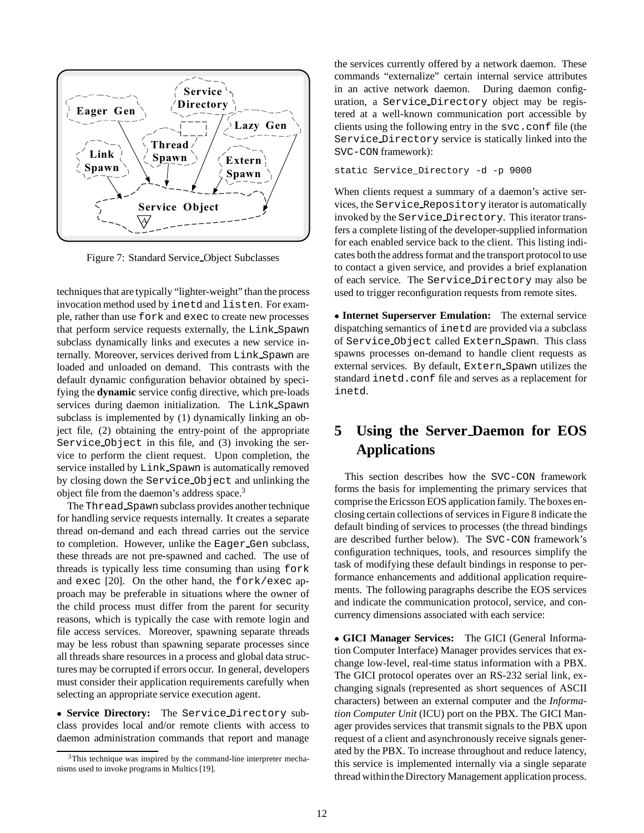

Figure 7: Standard Service Object Subclasses

techniques that are typically "lighter-weight" than the process invocation method used by inetd and listen. For example, rather than use fork and exec to create new processes that perform service requests externally, the Link Spawn subclass dynamically links and executes a new service internally. Moreover, services derived from Link Spawn are loaded and unloaded on demand. This contrasts with the default dynamic configuration behavior obtained by specifying the **dynamic** service config directive, which pre-loads services during daemon initialization. The Link Spawn subclass is implemented by (1) dynamically linking an object file, (2) obtaining the entry-point of the appropriate Service Object in this file, and (3) invoking the service to perform the client request. Upon completion, the service installed by Link Spawn is automatically removed by closing down the Service Object and unlinking the object file from the daemon's address space.3

The Thread Spawn subclass provides another technique for handling service requests internally. It creates a separate thread on-demand and each thread carries out the service to completion. However, unlike the Eager Gen subclass, these threads are not pre-spawned and cached. The use of threads is typically less time consuming than using fork and exec [20]. On the other hand, the fork/exec approach may be preferable in situations where the owner of the child process must differ from the parent for security reasons, which is typically the case with remote login and file access services. Moreover, spawning separate threads may be less robust than spawning separate processes since all threads share resources in a process and global data structures may be corrupted if errors occur. In general, developers must consider their application requirements carefully when selecting an appropriate service execution agent.

 **Service Directory:** The Service Directory subclass provides local and/or remote clients with access to daemon administration commands that report and manage

the services currently offered by a network daemon. These commands "externalize" certain internal service attributes in an active network daemon. During daemon configuration, a Service Directory object may be registered at a well-known communication port accessible by clients using the following entry in the svc.conf file (the Service Directory service is statically linked into the SVC-CON framework):

static Service\_Directory -d -p 9000

When clients request a summary of a daemon's active services, the Service Repository iterator is automatically invoked by the Service Directory. This iterator transfers a complete listing of the developer-supplied information for each enabled service back to the client. This listing indicates both the address format and the transport protocol to use to contact a given service, and provides a brief explanation of each service. The Service Directory may also be used to trigger reconfiguration requests from remote sites.

 **Internet Superserver Emulation:** The external service dispatching semantics of inetd are provided via a subclass of Service Object called Extern Spawn. This class spawns processes on-demand to handle client requests as external services. By default, Extern Spawn utilizes the standard inetd.conf file and serves as a replacement for inetd.

# **5 Using the Server Daemon for EOS Applications**

This section describes how the SVC-CON framework forms the basis for implementing the primary services that comprise the Ericsson EOS application family. The boxes enclosing certain collections of services in Figure 8 indicate the default binding of services to processes (the thread bindings are described further below). The SVC-CON framework's configuration techniques, tools, and resources simplify the task of modifying these default bindings in response to performance enhancements and additional application requirements. The following paragraphs describe the EOS services and indicate the communication protocol, service, and concurrency dimensions associated with each service:

 **GICI Manager Services:** The GICI (General Information Computer Interface) Manager provides services that exchange low-level, real-time status information with a PBX. The GICI protocol operates over an RS-232 serial link, exchanging signals (represented as short sequences of ASCII characters) between an external computer and the *Information Computer Unit* (ICU) port on the PBX. The GICI Manager provides services that transmit signals to the PBX upon request of a client and asynchronously receive signals generated by the PBX. To increase throughout and reduce latency, this service is implemented internally via a single separate thread withinthe Directory Management application process.

<sup>&</sup>lt;sup>3</sup>This technique was inspired by the command-line interpreter mechanisms used to invoke programs in Multics [19].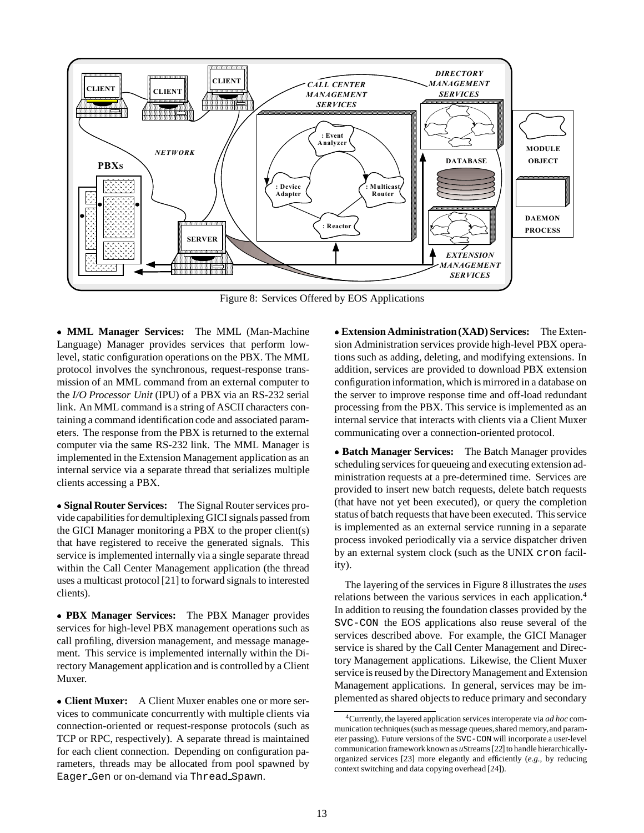

Figure 8: Services Offered by EOS Applications

 **MML Manager Services:** The MML (Man-Machine Language) Manager provides services that perform lowlevel, static configuration operations on the PBX. The MML protocol involves the synchronous, request-response transmission of an MML command from an external computer to the *I/O Processor Unit* (IPU) of a PBX via an RS-232 serial link. An MML command is a string of ASCII characters containing a command identification code and associated parameters. The response from the PBX is returned to the external computer via the same RS-232 link. The MML Manager is implemented in the Extension Management application as an internal service via a separate thread that serializes multiple clients accessing a PBX.

 **Signal Router Services:** The Signal Router services provide capabilities for demultiplexing GICI signals passed from the GICI Manager monitoring a PBX to the proper client(s) that have registered to receive the generated signals. This service is implemented internally via a single separate thread within the Call Center Management application (the thread uses a multicast protocol [21] to forward signals to interested clients).

 **PBX Manager Services:** The PBX Manager provides services for high-level PBX management operations such as call profiling, diversion management, and message management. This service is implemented internally within the Directory Management application and is controlled by a Client Muxer.

 **Client Muxer:** A Client Muxer enables one or more services to communicate concurrently with multiple clients via connection-oriented or request-response protocols (such as TCP or RPC, respectively). A separate thread is maintained for each client connection. Depending on configuration parameters, threads may be allocated from pool spawned by Eager Gen or on-demand via Thread Spawn.

 **Extension Administration (XAD) Services:** The Extension Administration services provide high-level PBX operations such as adding, deleting, and modifying extensions. In addition, services are provided to download PBX extension configuration information, which is mirrored in a database on the server to improve response time and off-load redundant processing from the PBX. This service is implemented as an internal service that interacts with clients via a Client Muxer communicating over a connection-oriented protocol.

 **Batch Manager Services:** The Batch Manager provides scheduling services for queueing and executing extension administration requests at a pre-determined time. Services are provided to insert new batch requests, delete batch requests (that have not yet been executed), or query the completion status of batch requests that have been executed. This service is implemented as an external service running in a separate process invoked periodically via a service dispatcher driven by an external system clock (such as the UNIX cron facility).

The layering of the services in Figure 8 illustrates the *uses* relations between the various services in each application.<sup>4</sup> In addition to reusing the foundation classes provided by the SVC-CON the EOS applications also reuse several of the services described above. For example, the GICI Manager service is shared by the Call Center Management and Directory Management applications. Likewise, the Client Muxer service is reused by the Directory Management and Extension Management applications. In general, services may be implemented as shared objects to reduce primary and secondary

<sup>4</sup>Currently, the layered application services interoperate via *ad hoc* communication techniques (such as message queues, shared memory, and parameter passing). Future versions of the SVC-CON will incorporate a user-level communication framework known as *u*Streams [22] to handle hierarchicallyorganized services [23] more elegantly and efficiently (*e.g.,* by reducing context switching and data copying overhead [24]).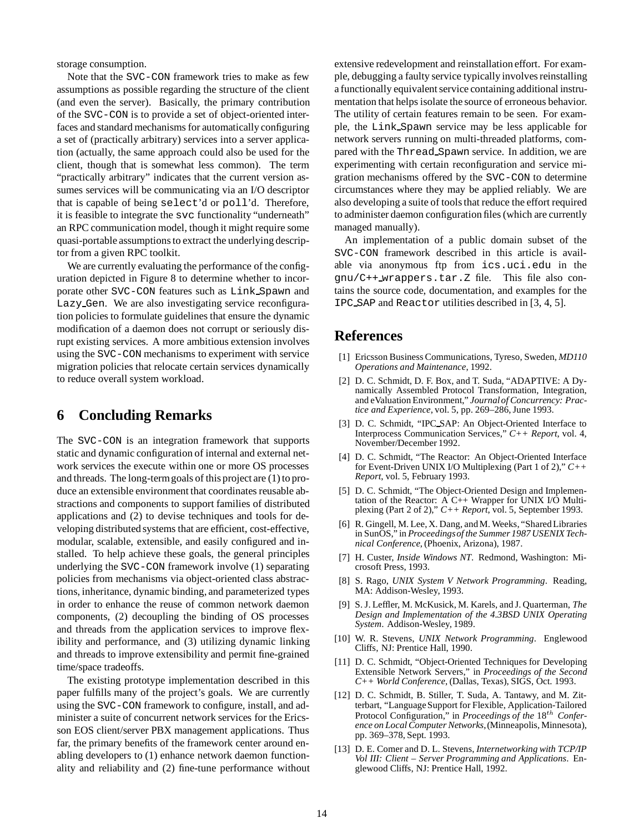storage consumption.

Note that the SVC-CON framework tries to make as few assumptions as possible regarding the structure of the client (and even the server). Basically, the primary contribution of the SVC-CON is to provide a set of object-oriented interfaces and standard mechanisms for automatically configuring a set of (practically arbitrary) services into a server application (actually, the same approach could also be used for the client, though that is somewhat less common). The term "practically arbitrary" indicates that the current version assumes services will be communicating via an I/O descriptor that is capable of being select'd or poll'd. Therefore, it is feasible to integrate the svc functionality "underneath" an RPC communication model, though it might require some quasi-portable assumptions to extract the underlying descriptor from a given RPC toolkit.

We are currently evaluating the performance of the configuration depicted in Figure 8 to determine whether to incorporate other SVC-CON features such as Link Spawn and Lazy Gen. We are also investigating service reconfiguration policies to formulate guidelines that ensure the dynamic modification of a daemon does not corrupt or seriously disrupt existing services. A more ambitious extension involves using the SVC-CON mechanisms to experiment with service migration policies that relocate certain services dynamically to reduce overall system workload.

# **6 Concluding Remarks**

The SVC-CON is an integration framework that supports static and dynamic configuration of internal and external network services the execute within one or more OS processes and threads. The long-termgoals of this project are (1) to produce an extensible environment that coordinates reusable abstractions and components to support families of distributed applications and (2) to devise techniques and tools for developing distributed systems that are efficient, cost-effective, modular, scalable, extensible, and easily configured and installed. To help achieve these goals, the general principles underlying the SVC-CON framework involve (1) separating policies from mechanisms via object-oriented class abstractions, inheritance, dynamic binding, and parameterized types in order to enhance the reuse of common network daemon components, (2) decoupling the binding of OS processes and threads from the application services to improve flexibility and performance, and (3) utilizing dynamic linking and threads to improve extensibility and permit fine-grained time/space tradeoffs.

The existing prototype implementation described in this paper fulfills many of the project's goals. We are currently using the SVC-CON framework to configure, install, and administer a suite of concurrent network services for the Ericsson EOS client/server PBX management applications. Thus far, the primary benefits of the framework center around enabling developers to (1) enhance network daemon functionality and reliability and (2) fine-tune performance without

extensive redevelopment and reinstallation effort. For example, debugging a faulty service typically involves reinstalling a functionally equivalent service containing additional instrumentation that helps isolate the source of erroneous behavior. The utility of certain features remain to be seen. For example, the Link Spawn service may be less applicable for network servers running on multi-threaded platforms, compared with the Thread Spawn service. In addition, we are experimenting with certain reconfiguration and service migration mechanisms offered by the SVC-CON to determine circumstances where they may be applied reliably. We are also developing a suite of tools that reduce the effort required to administer daemon configuration files (which are currently managed manually).

An implementation of a public domain subset of the SVC-CON framework described in this article is available via anonymous ftp from ics.uci.edu in the gnu/C++ wrappers.tar.Z file. This file also contains the source code, documentation, and examples for the IPC SAP and Reactor utilities described in [3, 4, 5].

# **References**

- [1] Ericsson Business Communications, Tyreso, Sweden, *MD110 Operations and Maintenance*, 1992.
- [2] D. C. Schmidt, D. F. Box, and T. Suda, "ADAPTIVE: A Dynamically Assembled Protocol Transformation, Integration, and eValuation Environment," *Journalof Concurrency: Practice and Experience*, vol. 5, pp. 269–286, June 1993.
- [3] D. C. Schmidt, "IPC SAP: An Object-Oriented Interface to Interprocess Communication Services," *C++ Report*, vol. 4, November/December 1992.
- [4] D. C. Schmidt, "The Reactor: An Object-Oriented Interface for Event-Driven UNIX I/O Multiplexing (Part 1 of 2)," *C++ Report*, vol. 5, February 1993.
- [5] D. C. Schmidt, "The Object-Oriented Design and Implementation of the Reactor: A C++ Wrapper for UNIX I/O Multiplexing (Part 2 of 2)," *C++ Report*, vol. 5, September 1993.
- [6] R. Gingell, M. Lee, X. Dang, and M. Weeks, "Shared Libraries in SunOS," in *Proceedingsof the Summer 1987 USENIX Technical Conference*, (Phoenix, Arizona), 1987.
- [7] H. Custer, *Inside Windows NT*. Redmond, Washington: Microsoft Press, 1993.
- [8] S. Rago, *UNIX System V Network Programming*. Reading, MA: Addison-Wesley, 1993.
- [9] S. J. Leffler, M. McKusick, M. Karels, and J. Quarterman, *The Design and Implementation of the 4.3BSD UNIX Operating System*. Addison-Wesley, 1989.
- [10] W. R. Stevens, *UNIX Network Programming*. Englewood Cliffs, NJ: Prentice Hall, 1990.
- [11] D. C. Schmidt, "Object-Oriented Techniques for Developing Extensible Network Servers," in *Proceedings of the Second C++ World Conference*, (Dallas, Texas), SIGS, Oct. 1993.
- [12] D. C. Schmidt, B. Stiller, T. Suda, A. Tantawy, and M. Zitterbart, "Language Support for Flexible, Application-Tailored Protocol Configuration," in *Proceedings of the* 18<sup>th</sup> Confer*ence on Local Computer Networks*,(Minneapolis, Minnesota), pp. 369–378, Sept. 1993.
- [13] D. E. Comer and D. L. Stevens, *Internetworking with TCP/IP Vol III: Client – Server Programming and Applications*. Englewood Cliffs, NJ: Prentice Hall, 1992.